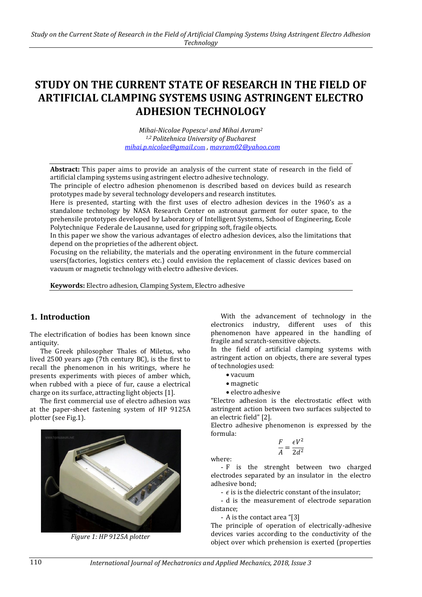# **STUDY ON THE CURRENT STATE OF RESEARCH IN THE FIELD OF ARTIFICIAL CLAMPING SYSTEMS USING ASTRINGENT ELECTRO ADHESION TECHNOLOGY**

*Mihai-Nicolae Popescu<sup>1</sup> and Mihai Avram<sup>2</sup> 1,2 Politehnica University of Bucharest [mihai.p.nicolae@gmail.c](mailto:mihai.p.nicolae@gmail.com)*om *, [mavram02@yahoo.com](mailto:mavram02@yahoo.com)* 

**Abstract:** This paper aims to provide an analysis of the current state of research in the field of artificial clamping systems using astringent electro adhesive technology.

The principle of electro adhesion phenomenon is described based on devices build as research prototypes made by several technology developers and research institutes.

Here is presented, starting with the first uses of electro adhesion devices in the 1960's as a standalone technology by NASA Research Center on astronaut garment for outer space, to the prehensile prototypes developed by Laboratory of Intelligent Systems, School of Engineering, Ecole Polytechnique Federale de Lausanne, used for gripping soft, fragile objects.

In this paper we show the various advantages of electro adhesion devices, also the limitations that depend on the proprieties of the adherent object.

Focusing on the reliability, the materials and the operating environment in the future commercial users(factories, logistics centers etc.) could envision the replacement of classic devices based on vacuum or magnetic technology with electro adhesive devices.

**Keywords:** Electro adhesion, Clamping System, Electro adhesive

### **1. Introduction**

The electrification of bodies has been known since antiquity.

The Greek philosopher Thales of Miletus, who lived 2500 years ago (7th century BC), is the first to recall the phenomenon in his writings, where he presents experiments with pieces of amber which, when rubbed with a piece of fur, cause a electrical charge on its surface, attracting light objects [1].

The first commercial use of electro adhesion was at the paper-sheet fastening system of HP 9125A plotter (see Fig.1).



*Figure 1: HP 9125A plotter*

With the advancement of technology in the electronics industry, different uses of this phenomenon have appeared in the handling of fragile and scratch-sensitive objects.

In the field of artificial clamping systems with astringent action on objects, there are several types of technologies used:

- $\bullet$  vacuum
- magnetic
- electro adhesive

"Electro adhesion is the electrostatic effect with astringent action between two surfaces subjected to an electric field" [2].

Electro adhesive phenomenon is expressed by the formula:

$$
\frac{F}{A} = \frac{\epsilon V^2}{2d^2}
$$

where:

- F is the strenght between two charged electrodes separated by an insulator in the electro adhesive bond;

-  $\epsilon$  is is the dielectric constant of the insulator;

- d is the measurement of electrode separation distance;

- A is the contact area "[3]

The principle of operation of electrically-adhesive devices varies according to the conductivity of the object over which prehension is exerted (properties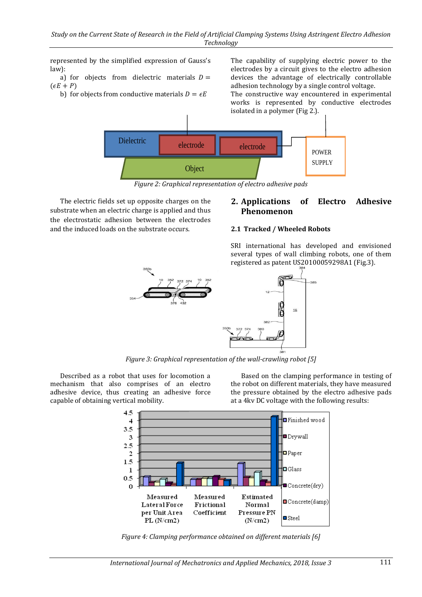represented by the simplified expression of Gauss's law):

a) for objects from dielectric materials  $D =$  $(\epsilon E + P)$ 

b) for objects from conductive materials  $D = \epsilon E$ 

The capability of supplying electric power to the electrodes by a circuit gives to the electro adhesion devices the advantage of electrically controllable adhesion technology by a single control voltage.

The constructive way encountered in experimental works is represented by conductive electrodes isolated in a polymer (Fig 2.).



*Figure 2: Graphical representation of electro adhesive pads*

The electric fields set up opposite charges on the substrate when an electric charge is applied and thus the electrostatic adhesion between the electrodes and the induced loads on the substrate occurs.

## **2. Applications of Electro Adhesive Phenomenon**

SRI international has developed and envisioned several types of wall climbing robots, one of them

#### **2.1 Tracked / Wheeled Robots**

registered as patent US20100059298A1 (Fig.3).  $16$ 

*Figure 3: Graphical representation of the wall-crawling robot [5]*

Described as a robot that uses for locomotion a mechanism that also comprises of an electro adhesive device, thus creating an adhesive force capable of obtaining vertical mobility.

Based on the clamping performance in testing of the robot on different materials, they have measured the pressure obtained by the electro adhesive pads at a 4kv DC voltage with the following results:



*Figure 4: Clamping performance obtained on different materials [6]*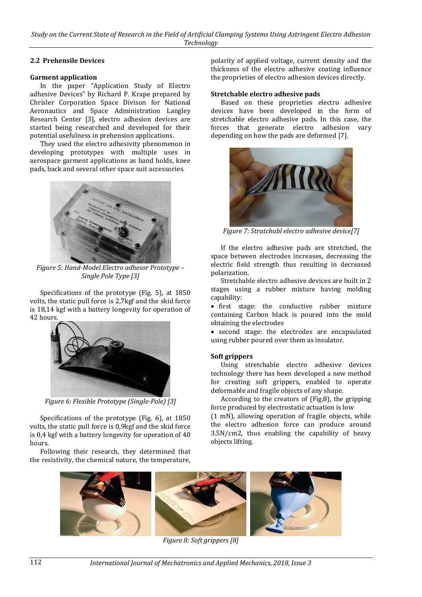#### **2.2 Prehensile Devices**

#### **Garment application**

In the paper "Application Study of Electro adhesive Devices" by Richard P. Krape prepared by Chrisler Corporation Space Divison for National Aeronautics and Space Administration Langley Research Center [3], electro adhesion devices are started being researched and developed for their potential usefulness in prehension applications.

They used the electro adhesivity phenomenon in developing prototypes with multiple uses in aerospace garment applications as hand holds, knee pads, back and several other space suit accessories.



*Figure 5: Hand-Model Electro adhesor Prototype – Single Pole Type [3]*

Specifications of the prototype (Fig. 5), at 1850 volts, the static pull force is 2,7kgf and the skid force is 18,14 kgf with a battery longevity for operation of 42 hours.



*Figure 6: Flexible Prototype (Single-Pole) [3]*

Specifications of the prototype (Fig. 6), at 1850 volts, the static pull force is 0,9kgf and the skid force is 0,4 kgf with a battery longevity for operation of 40 hours.

Following their research, they determined that the resistivity, the chemical nature, the temperature,

polarity of applied voltage, current density and the thickness of the electro adhesive coating influence the proprieties of electro adhesion devices directly.

#### **Stretchable electro adhesive pads**

Based on these proprieties electro adhesive devices have been developed in the form of stretchable electro adhesive pads. In this case, the forces that generate electro adhesion vary depending on how the pads are deformed [7].



*Figure 7: Stratchabl electro adhesive device[7]*

If the electro adhesive pads are stretched, the space between electrodes increases, decreasing the electric field strength thus resulting in decreased polarization.

Stretchable electro adhesive devices are built in 2 stages using a rubber mixture having molding capability:

• first stage: the conductive rubber mixture containing Carbon black is poured into the mold obtaining the electrodes

 second stage: the electrodes are encapsulated using rubber poured over them as insulator.

#### **Soft grippers**

Using stretchable electro adhesive devices technology there has been developed a new method for creating soft grippers, enabled to operate deformable and fragile objects of any shape.

According to the creators of (Fig.8), the gripping force produced by electrostatic actuation is low (1 mN), allowing operation of fragile objects, while the electro adhesion force can produce around 3.5N/cm2, thus enabling the capability of heavy objects lifting.



*Figure 8: Soft grippers [8]*